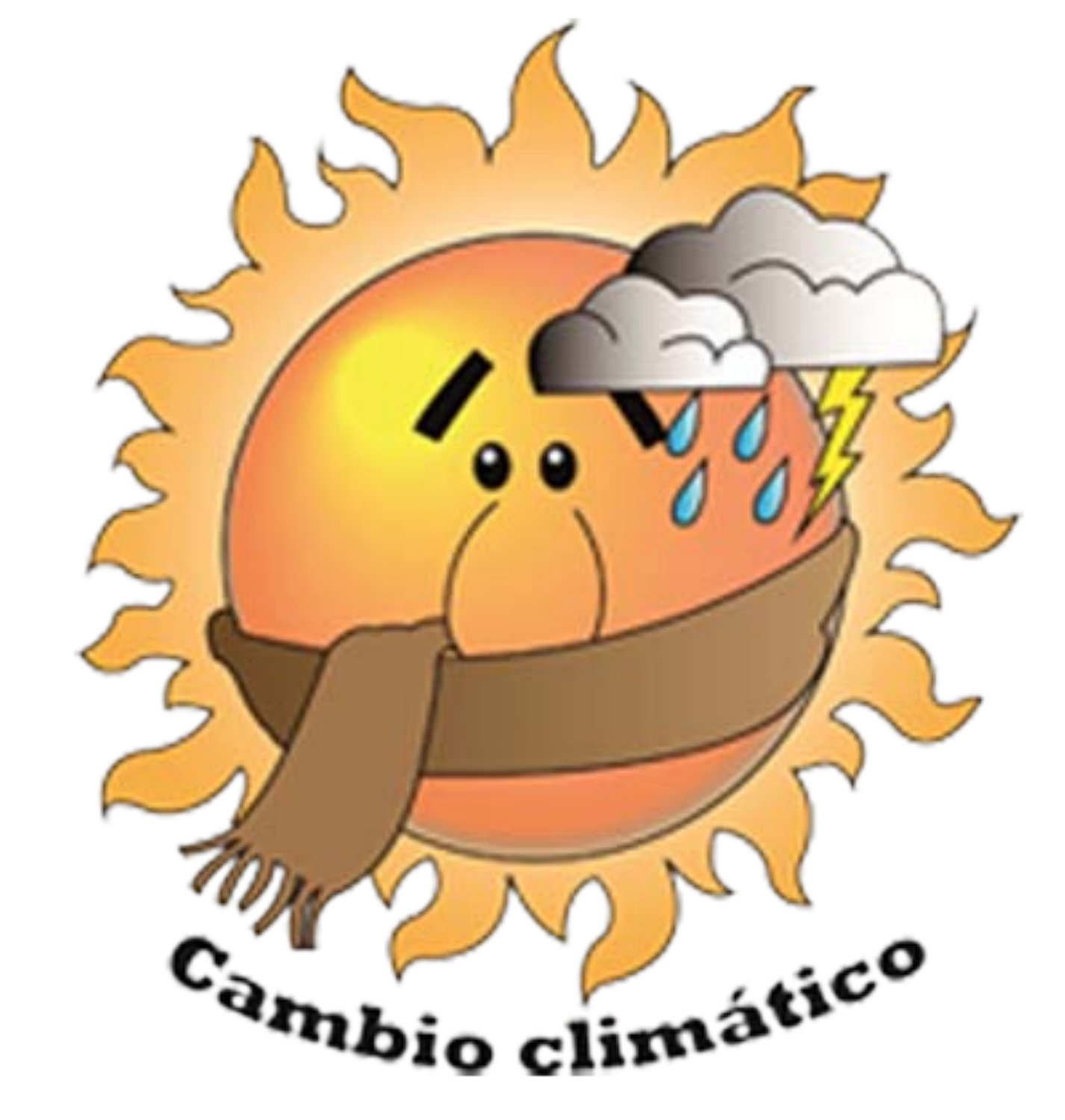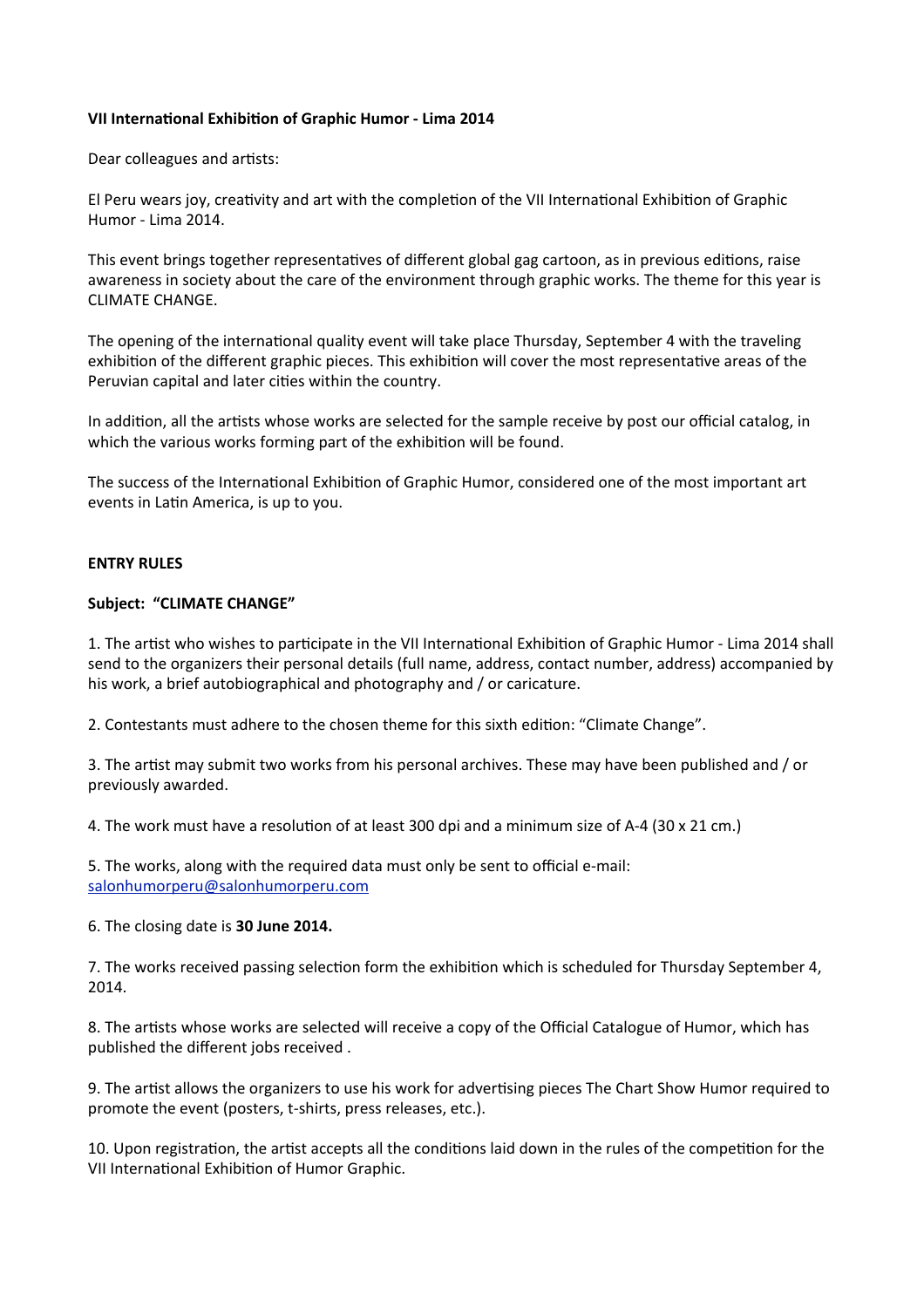## **VII International Exhibition of Graphic Humor - Lima 2014**

Dear colleagues and artists:

El Peru wears joy, creativity and art with the completion of the VII International Exhibition of Graphic Humor - Lima 2014

This event brings together representatives of different global gag cartoon, as in previous editions, raise awareness in society about the care of the environment through graphic works. The theme for this year is **CLIMATE CHANGE.** 

The opening of the international quality event will take place Thursday, September 4 with the traveling exhibition of the different graphic pieces. This exhibition will cover the most representative areas of the Peruvian capital and later cities within the country.

In addition, all the artists whose works are selected for the sample receive by post our official catalog, in which the various works forming part of the exhibition will be found.

The success of the International Exhibition of Graphic Humor, considered one of the most important art events in Latin America, is up to you.

## **ENTRY RULES**

#### Subject: "CLIMATE CHANGE"

1. The artist who wishes to participate in the VII International Exhibition of Graphic Humor - Lima 2014 shall send to the organizers their personal details (full name, address, contact number, address) accompanied by his work, a brief autobiographical and photography and / or caricature.

2. Contestants must adhere to the chosen theme for this sixth edition: "Climate Change".

3. The artist may submit two works from his personal archives. These may have been published and / or previously awarded.

4. The work must have a resolution of at least 300 dpi and a minimum size of A-4 (30 x 21 cm.)

5. The works, along with the required data must only be sent to official e-mail: [salonhumorperu@salonhumorperu.com](mailto:salonhumorperu@salonhumorperu.com)

6. The closing date is 30 June 2014.

7. The works received passing selection form the exhibition which is scheduled for Thursday September 4. 2014.

8. The artists whose works are selected will receive a copy of the Official Catalogue of Humor, which has published the different jobs received.

9. The artist allows the organizers to use his work for advertising pieces The Chart Show Humor required to promote the event (posters, t-shirts, press releases, etc.).

10. Upon registration, the artist accepts all the conditions laid down in the rules of the competition for the VII International Exhibition of Humor Graphic.